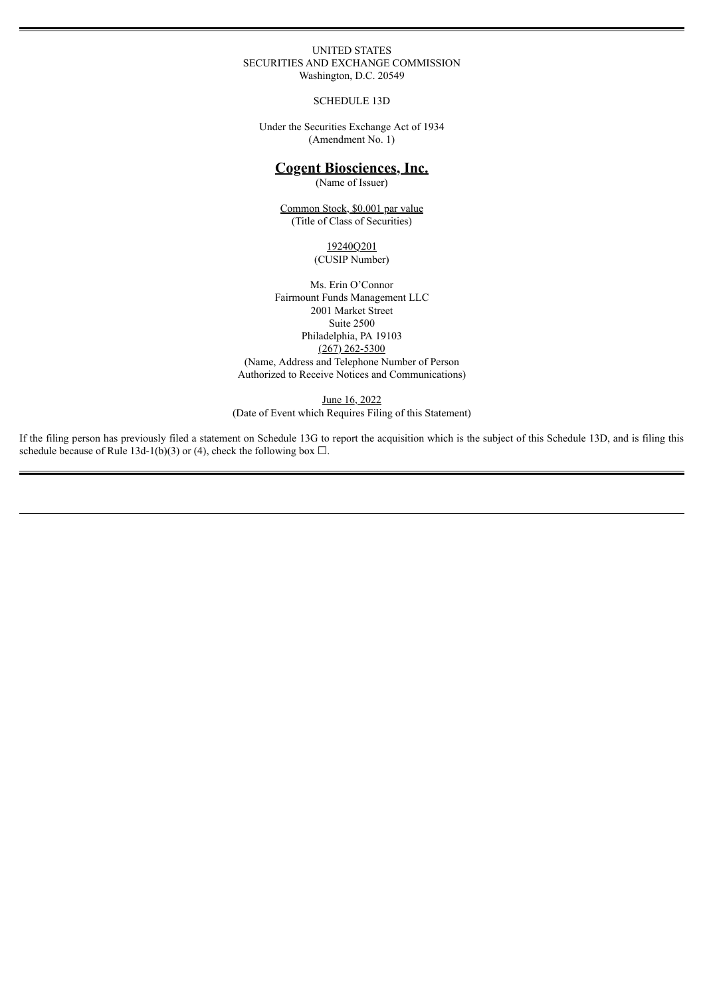#### UNITED STATES SECURITIES AND EXCHANGE COMMISSION Washington, D.C. 20549

SCHEDULE 13D

Under the Securities Exchange Act of 1934 (Amendment No. 1)

# **Cogent Biosciences, Inc.**

(Name of Issuer)

Common Stock, \$0.001 par value (Title of Class of Securities)

> 19240Q201 (CUSIP Number)

Ms. Erin O'Connor Fairmount Funds Management LLC 2001 Market Street Suite 2500 Philadelphia, PA 19103 (267) 262-5300 (Name, Address and Telephone Number of Person Authorized to Receive Notices and Communications)

June 16, 2022 (Date of Event which Requires Filing of this Statement)

If the filing person has previously filed a statement on Schedule 13G to report the acquisition which is the subject of this Schedule 13D, and is filing this schedule because of Rule 13d-1(b)(3) or (4), check the following box  $\Box$ .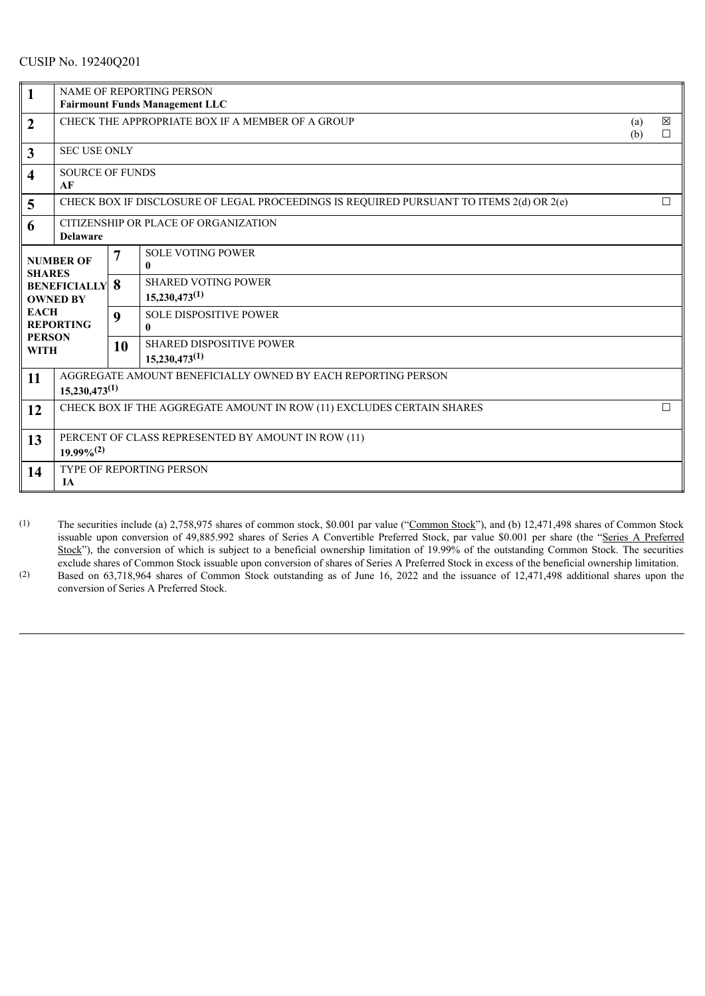# CUSIP No. 19240Q201

| $\mathbf{1}$                                                                                                                                   | <b>NAME OF REPORTING PERSON</b><br><b>Fairmount Funds Management LLC</b>                |                |                                                       |            |                       |  |
|------------------------------------------------------------------------------------------------------------------------------------------------|-----------------------------------------------------------------------------------------|----------------|-------------------------------------------------------|------------|-----------------------|--|
| $\overline{2}$                                                                                                                                 | CHECK THE APPROPRIATE BOX IF A MEMBER OF A GROUP                                        |                |                                                       | (a)<br>(b) | $\boxtimes$<br>$\Box$ |  |
| $\mathbf{3}$                                                                                                                                   | <b>SEC USE ONLY</b>                                                                     |                |                                                       |            |                       |  |
| $\overline{\mathbf{4}}$                                                                                                                        | <b>SOURCE OF FUNDS</b><br>AF                                                            |                |                                                       |            |                       |  |
| 5                                                                                                                                              | CHECK BOX IF DISCLOSURE OF LEGAL PROCEEDINGS IS REQUIRED PURSUANT TO ITEMS 2(d) OR 2(e) |                |                                                       |            | $\Box$                |  |
| 6                                                                                                                                              | CITIZENSHIP OR PLACE OF ORGANIZATION<br><b>Delaware</b>                                 |                |                                                       |            |                       |  |
| <b>NUMBER OF</b><br><b>SHARES</b><br><b>BENEFICIALLY</b><br><b>OWNED BY</b><br><b>EACH</b><br><b>REPORTING</b><br><b>PERSON</b><br><b>WITH</b> |                                                                                         | $\overline{7}$ | <b>SOLE VOTING POWER</b><br>$\mathbf{0}$              |            |                       |  |
|                                                                                                                                                |                                                                                         | 8              | <b>SHARED VOTING POWER</b><br>$15,230,473^{(1)}$      |            |                       |  |
|                                                                                                                                                |                                                                                         | 9              | <b>SOLE DISPOSITIVE POWER</b><br>0                    |            |                       |  |
|                                                                                                                                                |                                                                                         | 10             | <b>SHARED DISPOSITIVE POWER</b><br>$15,230,473^{(1)}$ |            |                       |  |
| 11                                                                                                                                             | AGGREGATE AMOUNT BENEFICIALLY OWNED BY EACH REPORTING PERSON<br>$15,230,473^{(1)}$      |                |                                                       |            |                       |  |
| 12                                                                                                                                             | CHECK BOX IF THE AGGREGATE AMOUNT IN ROW (11) EXCLUDES CERTAIN SHARES<br>$\Box$         |                |                                                       |            |                       |  |
| 13                                                                                                                                             | PERCENT OF CLASS REPRESENTED BY AMOUNT IN ROW (11)<br>$19.99\%^{(2)}$                   |                |                                                       |            |                       |  |
| 14                                                                                                                                             | <b>TYPE OF REPORTING PERSON</b><br><b>IA</b>                                            |                |                                                       |            |                       |  |

- (1) The securities include (a) 2,758,975 shares of common stock, \$0.001 par value ("Common Stock"), and (b) 12,471,498 shares of Common Stock issuable upon conversion of 49,885.992 shares of Series A Convertible Preferred Stock, par value \$0.001 per share (the "Series A Preferred Stock"), the conversion of which is subject to a beneficial ownership limitation of 19.99% of the outstanding Common Stock. The securities exclude shares of Common Stock issuable upon conversion of shares of Series A Preferred Stock in excess of the beneficial ownership limitation.
- (2) Based on 63,718,964 shares of Common Stock outstanding as of June 16, 2022 and the issuance of 12,471,498 additional shares upon the conversion of Series A Preferred Stock.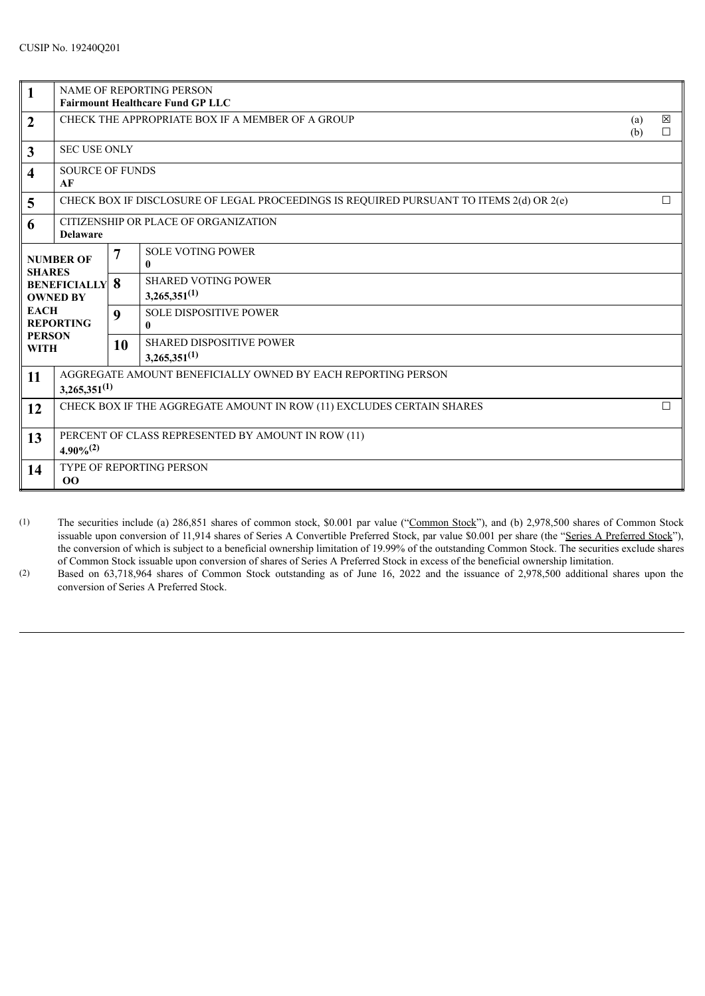| $\mathbf{1}$                                                                                                                                   | <b>NAME OF REPORTING PERSON</b><br><b>Fairmount Healthcare Fund GP LLC</b>              |                  |                                                      |            |                  |
|------------------------------------------------------------------------------------------------------------------------------------------------|-----------------------------------------------------------------------------------------|------------------|------------------------------------------------------|------------|------------------|
| $\boldsymbol{2}$                                                                                                                               | CHECK THE APPROPRIATE BOX IF A MEMBER OF A GROUP                                        |                  |                                                      | (a)<br>(b) | $\boxtimes$<br>П |
| $\mathbf{3}$                                                                                                                                   | <b>SEC USE ONLY</b>                                                                     |                  |                                                      |            |                  |
| $\overline{\mathbf{4}}$                                                                                                                        | <b>SOURCE OF FUNDS</b><br>AF                                                            |                  |                                                      |            |                  |
| 5                                                                                                                                              | CHECK BOX IF DISCLOSURE OF LEGAL PROCEEDINGS IS REQUIRED PURSUANT TO ITEMS 2(d) OR 2(e) |                  |                                                      |            | $\Box$           |
| 6                                                                                                                                              | CITIZENSHIP OR PLACE OF ORGANIZATION<br><b>Delaware</b>                                 |                  |                                                      |            |                  |
| <b>NUMBER OF</b><br><b>SHARES</b><br><b>BENEFICIALLY</b><br><b>OWNED BY</b><br><b>EACH</b><br><b>REPORTING</b><br><b>PERSON</b><br><b>WITH</b> |                                                                                         | 7                | <b>SOLE VOTING POWER</b><br>$\mathbf{0}$             |            |                  |
|                                                                                                                                                |                                                                                         | 8                | <b>SHARED VOTING POWER</b><br>$3,265,351^{(1)}$      |            |                  |
|                                                                                                                                                |                                                                                         | $\boldsymbol{9}$ | <b>SOLE DISPOSITIVE POWER</b><br>$\mathbf{0}$        |            |                  |
|                                                                                                                                                |                                                                                         | 10               | <b>SHARED DISPOSITIVE POWER</b><br>$3,265,351^{(1)}$ |            |                  |
| 11                                                                                                                                             | AGGREGATE AMOUNT BENEFICIALLY OWNED BY EACH REPORTING PERSON<br>$3,265,351^{(1)}$       |                  |                                                      |            |                  |
| 12                                                                                                                                             | CHECK BOX IF THE AGGREGATE AMOUNT IN ROW (11) EXCLUDES CERTAIN SHARES                   |                  |                                                      |            |                  |
| 13                                                                                                                                             | PERCENT OF CLASS REPRESENTED BY AMOUNT IN ROW (11)<br>$4.90\%^{(2)}$                    |                  |                                                      |            |                  |
| 14                                                                                                                                             | TYPE OF REPORTING PERSON<br>00                                                          |                  |                                                      |            |                  |

- (1) The securities include (a) 286,851 shares of common stock, \$0.001 par value ("Common Stock"), and (b) 2,978,500 shares of Common Stock issuable upon conversion of 11,914 shares of Series A Convertible Preferred Stock, par value \$0.001 per share (the "Series A Preferred Stock"), the conversion of which is subject to a beneficial ownership limitation of 19.99% of the outstanding Common Stock. The securities exclude shares of Common Stock issuable upon conversion of shares of Series A Preferred Stock in excess of the beneficial ownership limitation.
- (2) Based on 63,718,964 shares of Common Stock outstanding as of June 16, 2022 and the issuance of 2,978,500 additional shares upon the conversion of Series A Preferred Stock.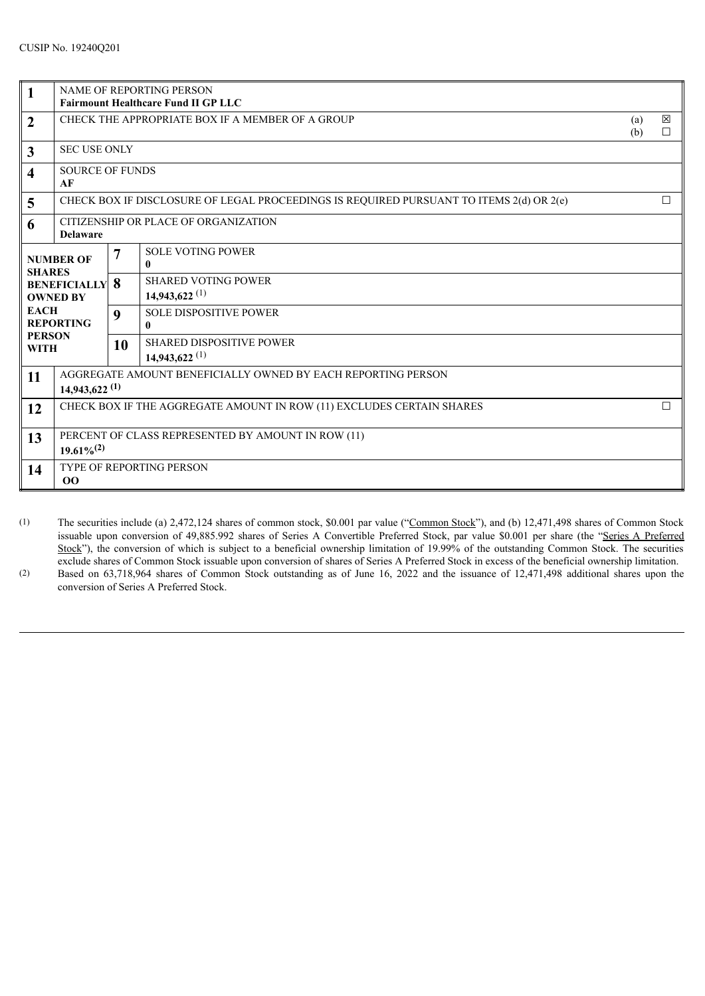| $\vert$ 1                                                                                                                                      | <b>NAME OF REPORTING PERSON</b><br><b>Fairmount Healthcare Fund II GP LLC</b>                     |                  |                                                           |            |                       |
|------------------------------------------------------------------------------------------------------------------------------------------------|---------------------------------------------------------------------------------------------------|------------------|-----------------------------------------------------------|------------|-----------------------|
| $\boldsymbol{2}$                                                                                                                               | CHECK THE APPROPRIATE BOX IF A MEMBER OF A GROUP                                                  |                  |                                                           | (a)<br>(b) | $\boxtimes$<br>$\Box$ |
| $\overline{\mathbf{3}}$                                                                                                                        | <b>SEC USE ONLY</b>                                                                               |                  |                                                           |            |                       |
| $\overline{\mathbf{4}}$                                                                                                                        | <b>SOURCE OF FUNDS</b><br>AF                                                                      |                  |                                                           |            |                       |
| 5                                                                                                                                              | $\Box$<br>CHECK BOX IF DISCLOSURE OF LEGAL PROCEEDINGS IS REQUIRED PURSUANT TO ITEMS 2(d) OR 2(e) |                  |                                                           |            |                       |
| 6                                                                                                                                              | CITIZENSHIP OR PLACE OF ORGANIZATION<br><b>Delaware</b>                                           |                  |                                                           |            |                       |
| <b>NUMBER OF</b><br><b>SHARES</b><br><b>BENEFICIALLY</b><br><b>OWNED BY</b><br><b>EACH</b><br><b>REPORTING</b><br><b>PERSON</b><br><b>WITH</b> |                                                                                                   | 7                | <b>SOLE VOTING POWER</b><br>$\mathbf{0}$                  |            |                       |
|                                                                                                                                                |                                                                                                   | 8                | <b>SHARED VOTING POWER</b><br>$14,943,622$ <sup>(1)</sup> |            |                       |
|                                                                                                                                                |                                                                                                   | $\boldsymbol{9}$ | <b>SOLE DISPOSITIVE POWER</b><br>$\mathbf{0}$             |            |                       |
|                                                                                                                                                |                                                                                                   | 10               | <b>SHARED DISPOSITIVE POWER</b><br>$14.943.622^{(1)}$     |            |                       |
| 11                                                                                                                                             | AGGREGATE AMOUNT BENEFICIALLY OWNED BY EACH REPORTING PERSON<br>$14,943,622$ <sup>(1)</sup>       |                  |                                                           |            |                       |
| 12                                                                                                                                             | CHECK BOX IF THE AGGREGATE AMOUNT IN ROW (11) EXCLUDES CERTAIN SHARES<br>$\Box$                   |                  |                                                           |            |                       |
| 13                                                                                                                                             | PERCENT OF CLASS REPRESENTED BY AMOUNT IN ROW (11)<br>$19.61\%^{(2)}$                             |                  |                                                           |            |                       |
| 14                                                                                                                                             | <b>TYPE OF REPORTING PERSON</b><br>00                                                             |                  |                                                           |            |                       |

(1) The securities include (a) 2,472,124 shares of common stock, \$0.001 par value ("Common Stock"), and (b) 12,471,498 shares of Common Stock issuable upon conversion of 49,885.992 shares of Series A Convertible Preferred Stock, par value \$0.001 per share (the "Series A Preferred Stock"), the conversion of which is subject to a beneficial ownership limitation of 19.99% of the outstanding Common Stock. The securities exclude shares of Common Stock issuable upon conversion of shares of Series A Preferred Stock in excess of the beneficial ownership limitation.

(2) Based on 63,718,964 shares of Common Stock outstanding as of June 16, 2022 and the issuance of 12,471,498 additional shares upon the conversion of Series A Preferred Stock.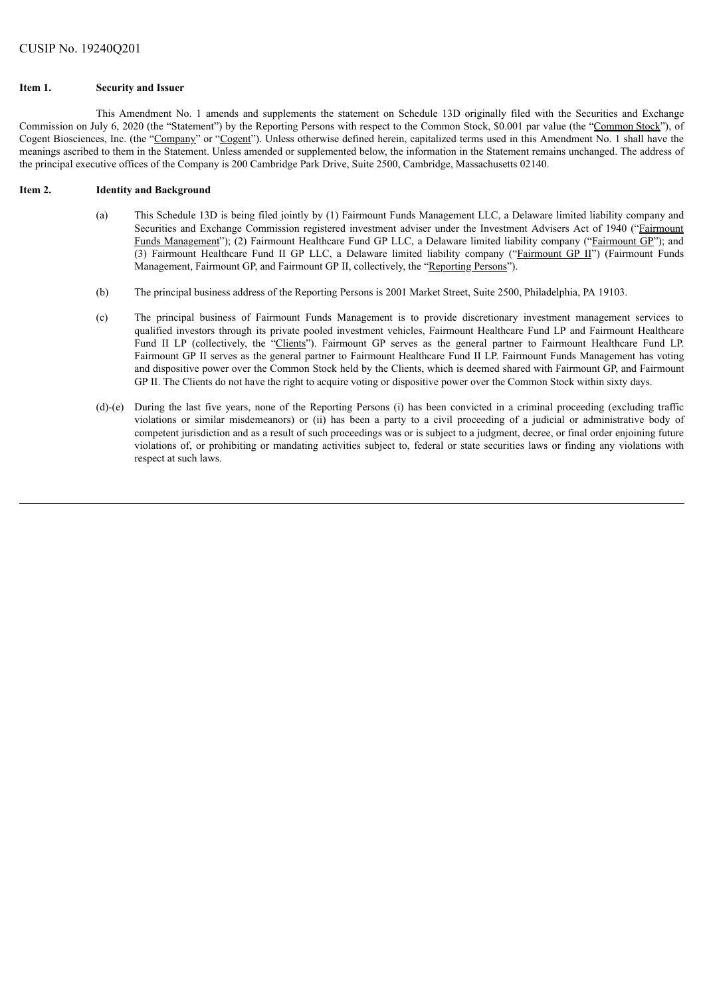#### **Item 1. Security and Issuer**

This Amendment No. 1 amends and supplements the statement on Schedule 13D originally filed with the Securities and Exchange Commission on July 6, 2020 (the "Statement") by the Reporting Persons with respect to the Common Stock, \$0.001 par value (the "Common Stock"), of Cogent Biosciences, Inc. (the "Company" or "Cogent"). Unless otherwise defined herein, capitalized terms used in this Amendment No. 1 shall have the meanings ascribed to them in the Statement. Unless amended or supplemented below, the information in the Statement remains unchanged. The address of the principal executive offices of the Company is 200 Cambridge Park Drive, Suite 2500, Cambridge, Massachusetts 02140.

#### **Item 2. Identity and Background**

- (a) This Schedule 13D is being filed jointly by (1) Fairmount Funds Management LLC, a Delaware limited liability company and Securities and Exchange Commission registered investment adviser under the Investment Advisers Act of 1940 ("Fairmount Funds Management"); (2) Fairmount Healthcare Fund GP LLC, a Delaware limited liability company ("Fairmount GP"); and (3) Fairmount Healthcare Fund II GP LLC, a Delaware limited liability company ("Fairmount GP II") (Fairmount Funds Management, Fairmount GP, and Fairmount GP II, collectively, the "Reporting Persons").
- (b) The principal business address of the Reporting Persons is 2001 Market Street, Suite 2500, Philadelphia, PA 19103.
- (c) The principal business of Fairmount Funds Management is to provide discretionary investment management services to qualified investors through its private pooled investment vehicles, Fairmount Healthcare Fund LP and Fairmount Healthcare Fund II LP (collectively, the "Clients"). Fairmount GP serves as the general partner to Fairmount Healthcare Fund LP. Fairmount GP II serves as the general partner to Fairmount Healthcare Fund II LP. Fairmount Funds Management has voting and dispositive power over the Common Stock held by the Clients, which is deemed shared with Fairmount GP, and Fairmount GP II. The Clients do not have the right to acquire voting or dispositive power over the Common Stock within sixty days.
- (d)-(e) During the last five years, none of the Reporting Persons (i) has been convicted in a criminal proceeding (excluding traffic violations or similar misdemeanors) or (ii) has been a party to a civil proceeding of a judicial or administrative body of competent jurisdiction and as a result of such proceedings was or is subject to a judgment, decree, or final order enjoining future violations of, or prohibiting or mandating activities subject to, federal or state securities laws or finding any violations with respect at such laws.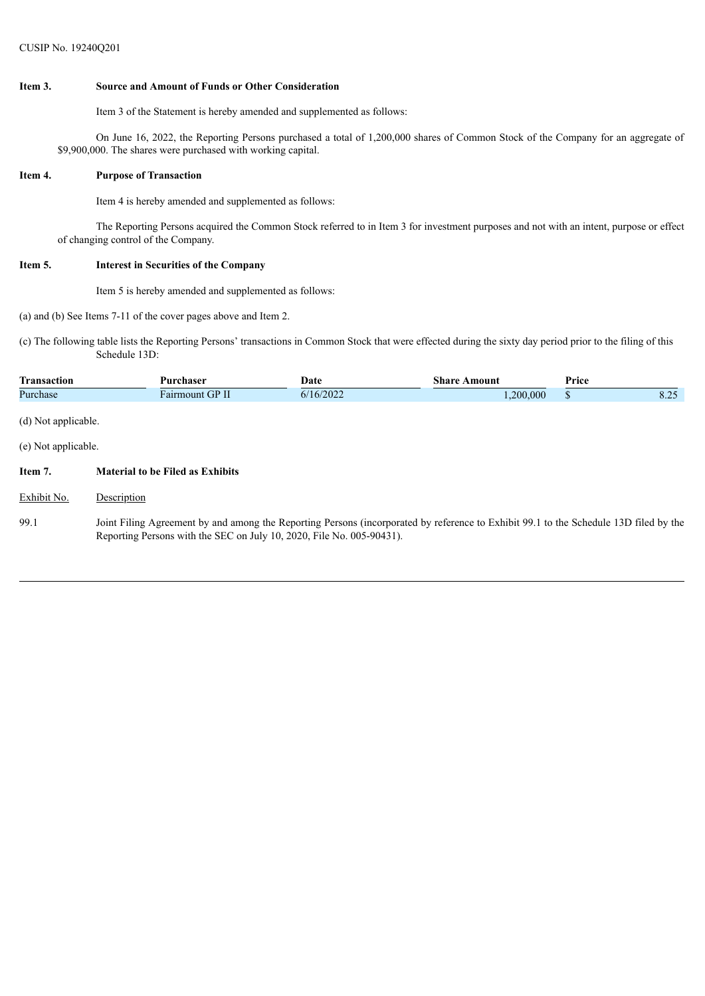#### **Item 3. Source and Amount of Funds or Other Consideration**

Item 3 of the Statement is hereby amended and supplemented as follows:

On June 16, 2022, the Reporting Persons purchased a total of 1,200,000 shares of Common Stock of the Company for an aggregate of \$9,900,000. The shares were purchased with working capital.

#### **Item 4. Purpose of Transaction**

Item 4 is hereby amended and supplemented as follows:

The Reporting Persons acquired the Common Stock referred to in Item 3 for investment purposes and not with an intent, purpose or effect of changing control of the Company.

#### **Item 5. Interest in Securities of the Company**

Item 5 is hereby amended and supplemented as follows:

(a) and (b) See Items 7-11 of the cover pages above and Item 2.

(c) The following table lists the Reporting Persons' transactions in Common Stock that were effected during the sixty day period prior to the filing of this Schedule 13D:

| <b>Transaction</b>  | Purchaser       | Date      | <b>Share Amount</b> | Price |      |
|---------------------|-----------------|-----------|---------------------|-------|------|
| Purchase            | Fairmount GP II | 6/16/2022 | 0.200,000           |       | 8.25 |
| (d) Not applicable. |                 |           |                     |       |      |

(e) Not applicable.

### **Item 7. Material to be Filed as Exhibits**

- Exhibit No. Description
- 99.1 Joint Filing Agreement by and among the Reporting Persons (incorporated by reference to Exhibit 99.1 to the Schedule 13D filed by the Reporting Persons with the SEC on July 10, 2020, File No. 005-90431).